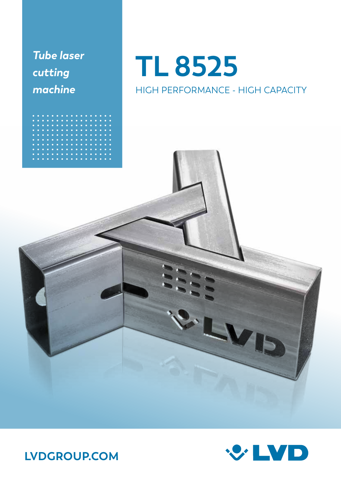*Tube laser cutting machine*

### **TL 8525** HIGH PERFORMANCE - HIGH CAPACITY





**LVDGROUP.COM**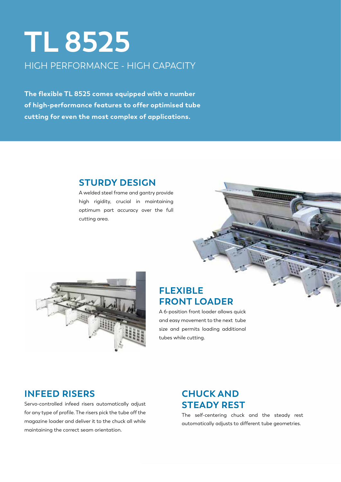### **TL 8525** HIGH PERFORMANCE - HIGH CAPACITY

**The flexible TL 8525 comes equipped with a number of high-performance features to offer optimised tube cutting for even the most complex of applications.** 

#### **STURDY DESIGN**

A welded steel frame and gantry provide high rigidity, crucial in maintaining optimum part accuracy over the full cutting area.



#### **FLEXIBLE FRONT LOADER**

A 6-position front loader allows quick and easy movement to the next tube size and permits loading additional tubes while cutting.

#### **INFEED RISERS**

Servo-controlled infeed risers automatically adjust for any type of profile. The risers pick the tube off the magazine loader and deliver it to the chuck all while maintaining the correct seam orientation.

#### **CHUCK AND STEADY REST**

The self-centering chuck and the steady rest automatically adjusts to different tube geometries.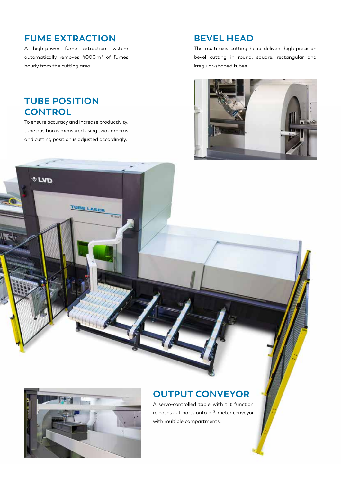#### **FUME EXTRACTION**

A high-power fume extraction system automatically removes 4000m<sup>3</sup> of fumes hourly from the cutting area.

#### **TUBE POSITION CONTROL**

**VLVD** 

To ensure accuracy and increase productivity, tube position is measured using two cameras and cutting position is adjusted accordingly.

TUBE LASER

#### **BEVEL HEAD**

The multi-axis cutting head delivers high-precision bevel cutting in round, square, rectangular and irregular-shaped tubes.





#### **OUTPUT CONVEYOR**

A servo-controlled table with tilt function releases cut parts onto a 3-meter conveyor with multiple compartments.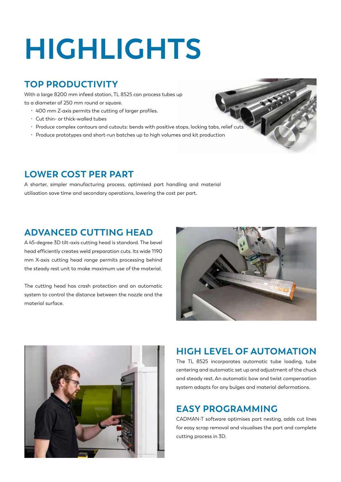## **HIGHLIGHTS**

#### **TOP PRODUCTIVITY**

With a large 8200 mm infeed station, TL 8525 can process tubes up to a diameter of 250 mm round or square.

- 400 mm Z-axis permits the cutting of larger profiles.
- Cut thin- or thick-walled tubes
- Produce complex contours and cutouts: bends with positive stops, locking tabs, relief cuts
- Produce prototypes and short-run batches up to high volumes and kit production

#### **LOWER COST PER PART**

A shorter, simpler manufacturing process, optimised part handling and material utilisation save time and secondary operations, lowering the cost per part.

#### **ADVANCED CUTTING HEAD**

A 45-degree 3D tilt-axis cutting head is standard. The bevel head efficiently creates weld preparation cuts. Its wide 1190 mm X-axis cutting head range permits processing behind the steady rest unit to make maximum use of the material.

The cutting head has crash protection and an automatic system to control the distance between the nozzle and the material surface.





#### **HIGH LEVEL OF AUTOMATION**

The TL 8525 incorporates automatic tube loading, tube centering and automatic set up and adjustment of the chuck and steady rest. An automatic bow and twist compensation system adapts for any bulges and material deformations.

#### **EASY PROGRAMMING**

CADMAN-T software optimises part nesting, adds cut lines for easy scrap removal and visualises the part and complete cutting process in 3D.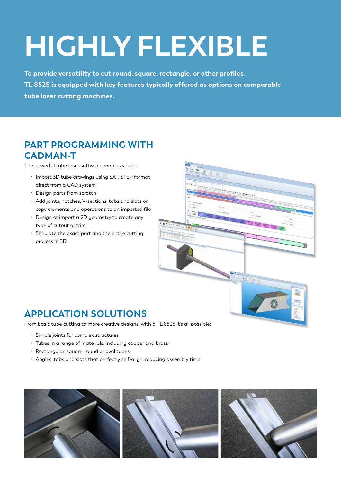## **HIGHLY FLEXIBLE**

**To provide versatility to cut round, square, rectangle, or other profiles, TL 8525 is equipped with key features typically offered as options on comparable tube laser cutting machines.**

#### **PART PROGRAMMING WITH CADMAN-T**

The powerful tube laser software enables you to:

- Import 3D tube drawings using SAT, STEP format direct from a CAD system
- Design parts from scratch
- Add joints, notches, V-sections, tabs and slots or copy elements and operations to an imported file
- Design or import a 2D geometry to create any type of cutout or trim
- Simulate the exact part and the entire cutting process in 3D



#### **APPLICATION SOLUTIONS**

From basic tube cutting to more creative designs, with a TL 8525 it's all possible:

- Simple joints for complex structures
- Tubes in a range of materials, including copper and brass
- Rectangular, square, round or oval tubes
- Angles, tabs and slots that perfectly self-align, reducing assembly time